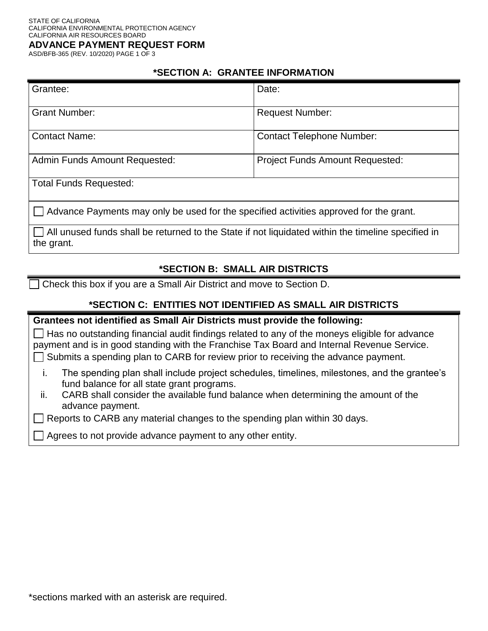ASD/BFB-365 (REV. 10/2020) PAGE 1 OF 3

### **\*SECTION A: GRANTEE INFORMATION**

| Grantee:                                                                                                                | Date:                                  |  |
|-------------------------------------------------------------------------------------------------------------------------|----------------------------------------|--|
| <b>Grant Number:</b>                                                                                                    | <b>Request Number:</b>                 |  |
| <b>Contact Name:</b>                                                                                                    | <b>Contact Telephone Number:</b>       |  |
| <b>Admin Funds Amount Requested:</b>                                                                                    | <b>Project Funds Amount Requested:</b> |  |
| <b>Total Funds Requested:</b>                                                                                           |                                        |  |
| $\Box$ Advance Payments may only be used for the specified activities approved for the grant.                           |                                        |  |
| $\Box$ All unused funds shall be returned to the State if not liquidated within the timeline specified in<br>the grant. |                                        |  |

## **\*SECTION B: SMALL AIR DISTRICTS**

Check this box if you are a Small Air District and move to Section D.

## **\*SECTION C: ENTITIES NOT IDENTIFIED AS SMALL AIR DISTRICTS**

**Grantees not identified as Small Air Districts must provide the following:**   $\Box$  Has no outstanding financial audit findings related to any of the moneys eligible for advance payment and is in good standing with the Franchise Tax Board and Internal Revenue Service.

 $\Box$  Submits a spending plan to CARB for review prior to receiving the advance payment.

- i. The spending plan shall include project schedules, timelines, milestones, and the grantee's fund balance for all state grant programs.
- ii. CARB shall consider the available fund balance when determining the amount of the advance payment.

Reports to CARB any material changes to the spending plan within 30 days.

Agrees to not provide advance payment to any other entity.

\*sections marked with an asterisk are required.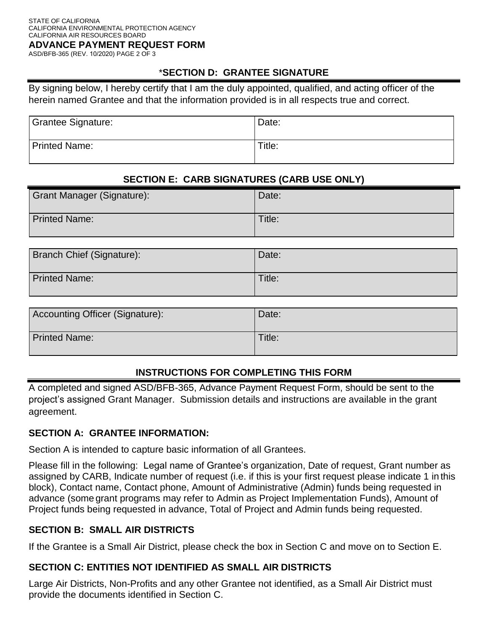ASD/BFB-365 (REV. 10/2020) PAGE 2 OF 3

### \***SECTION D: GRANTEE SIGNATURE**

By signing below, I hereby certify that I am the duly appointed, qualified, and acting officer of the herein named Grantee and that the information provided is in all respects true and correct.

| <b>Grantee Signature:</b> | Date:  |
|---------------------------|--------|
| <b>Printed Name:</b>      | Title: |

# **SECTION E: CARB SIGNATURES (CARB USE ONLY)**

| <b>Grant Manager (Signature):</b> | Date:  |
|-----------------------------------|--------|
| <b>Printed Name:</b>              | Title: |

| Branch Chief (Signature): | Date:  |
|---------------------------|--------|
| <b>Printed Name:</b>      | Title: |

| Accounting Officer (Signature): | Date:  |
|---------------------------------|--------|
| <b>Printed Name:</b>            | Title: |

## **INSTRUCTIONS FOR COMPLETING THIS FORM**

A completed and signed ASD/BFB-365, Advance Payment Request Form, should be sent to the project's assigned Grant Manager. Submission details and instructions are available in the grant agreement.

#### **SECTION A: GRANTEE INFORMATION:**

Section A is intended to capture basic information of all Grantees.

Please fill in the following: Legal name of Grantee's organization, Date of request, Grant number as assigned by CARB, Indicate number of request (i.e. if this is your first request please indicate 1 in this block), Contact name, Contact phone, Amount of Administrative (Admin) funds being requested in advance (some grant programs may refer to Admin as Project Implementation Funds), Amount of Project funds being requested in advance, Total of Project and Admin funds being requested.

#### **SECTION B: SMALL AIR DISTRICTS**

If the Grantee is a Small Air District, please check the box in Section C and move on to Section E.

## **SECTION C: ENTITIES NOT IDENTIFIED AS SMALL AIR DISTRICTS**

Large Air Districts, Non-Profits and any other Grantee not identified, as a Small Air District must provide the documents identified in Section C.